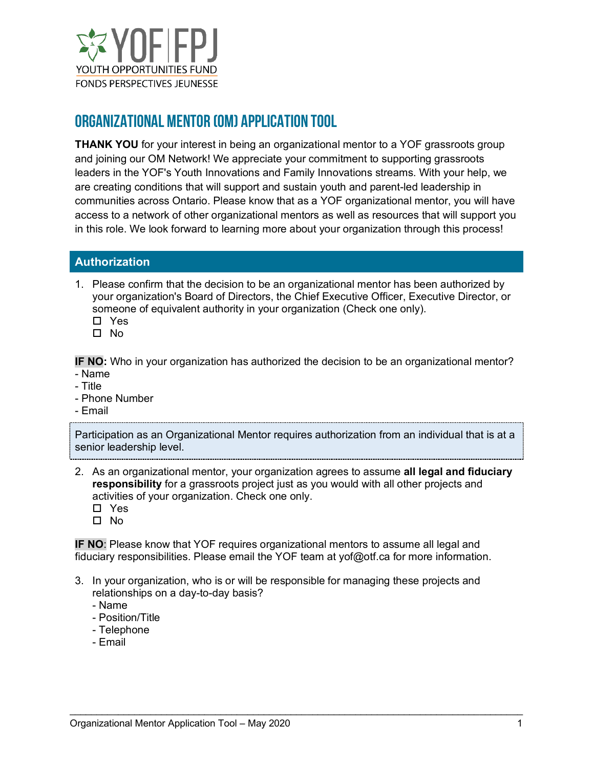

# ORGANIZATIONAL Mentor (om) APPLICATION TOOL

**THANK YOU** for your interest in being an organizational mentor to a YOF grassroots group and joining our OM Network! We appreciate your commitment to supporting grassroots leaders in the YOF's Youth Innovations and Family Innovations streams. With your help, we are creating conditions that will support and sustain youth and parent-led leadership in communities across Ontario. Please know that as a YOF organizational mentor, you will have access to a network of other organizational mentors as well as resources that will support you in this role. We look forward to learning more about your organization through this process!

### **Authorization**

- 1. Please confirm that the decision to be an organizational mentor has been authorized by your organization's Board of Directors, the Chief Executive Officer, Executive Director, or someone of equivalent authority in your organization (Check one only).
	- □ Yes
	- $\Pi$  No

**IF NO:** Who in your organization has authorized the decision to be an organizational mentor?

- Name
- Title
- Phone Number
- Email

Participation as an Organizational Mentor requires authorization from an individual that is at a senior leadership level.

2. As an organizational mentor, your organization agrees to assume **all legal and fiduciary responsibility** for a grassroots project just as you would with all other projects and activities of your organization. Check one only.

□ Yes

 $\Pi$  No

**IF NO**: Please know that YOF requires organizational mentors to assume all legal and fiduciary responsibilities. Please email the YOF team at yof@otf.ca for more information.

3. In your organization, who is or will be responsible for managing these projects and relationships on a day-to-day basis?

- Name
- Position/Title
- Telephone
- Email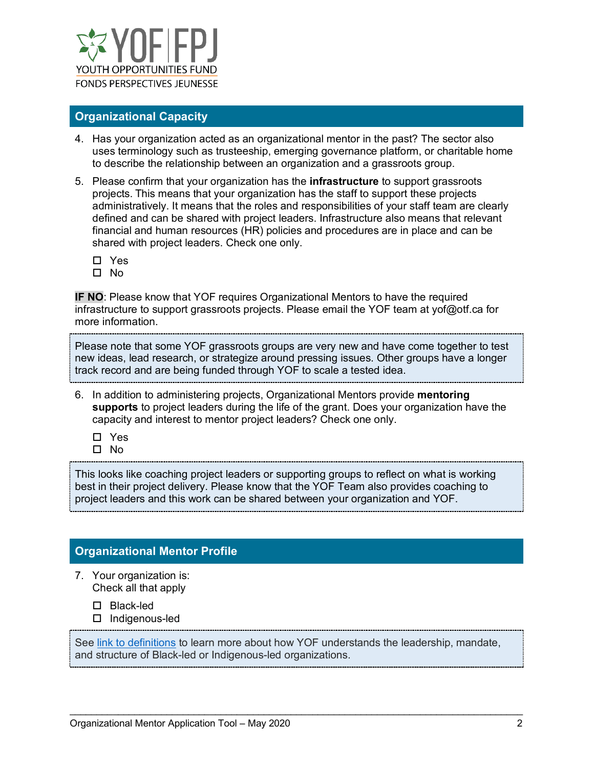

#### **Organizational Capacity**

- 4. Has your organization acted as an organizational mentor in the past? The sector also uses terminology such as trusteeship, emerging governance platform, or charitable home to describe the relationship between an organization and a grassroots group.
- 5. Please confirm that your organization has the **infrastructure** to support grassroots projects. This means that your organization has the staff to support these projects administratively. It means that the roles and responsibilities of your staff team are clearly defined and can be shared with project leaders. Infrastructure also means that relevant financial and human resources (HR) policies and procedures are in place and can be shared with project leaders. Check one only.
	- □ Yes
	- $\square$  No

**IF NO**: Please know that YOF requires Organizational Mentors to have the required infrastructure to support grassroots projects. Please email the YOF team at yof@otf.ca for more information.

Please note that some YOF grassroots groups are very new and have come together to test new ideas, lead research, or strategize around pressing issues. Other groups have a longer track record and are being funded through YOF to scale a tested idea.

- 6. In addition to administering projects, Organizational Mentors provide **mentoring supports** to project leaders during the life of the grant. Does your organization have the capacity and interest to mentor project leaders? Check one only.
	- □ Yes
	- No

This looks like coaching project leaders or supporting groups to reflect on what is working best in their project delivery. Please know that the YOF Team also provides coaching to project leaders and this work can be shared between your organization and YOF.

# **Organizational Mentor Profile**

- 7. Your organization is: Check all that apply
	- □ Black-led
	- Indigenous-led

See [link to definitions](https://otf.ca/yof/youth-innovations-stream-definitions) to learn more about how YOF understands the leadership, mandate, and structure of Black-led or Indigenous-led organizations.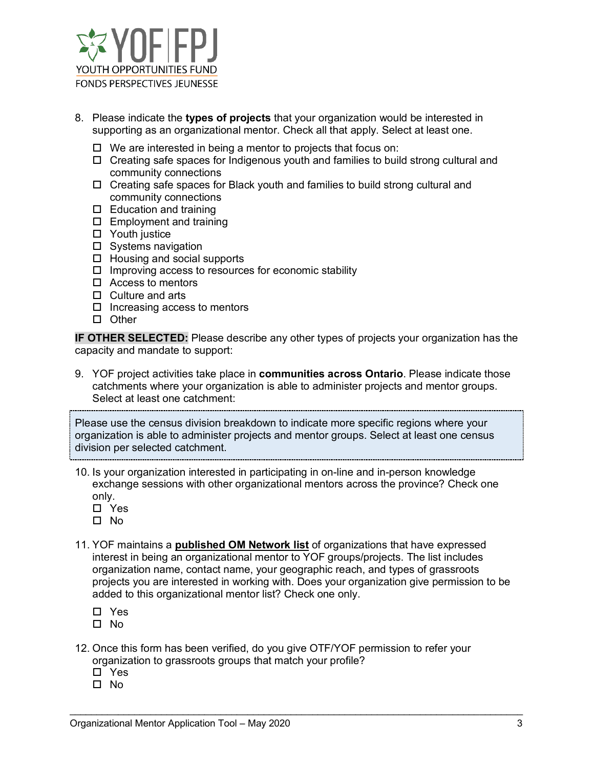

- 8. Please indicate the **types of projects** that your organization would be interested in supporting as an organizational mentor. Check all that apply. Select at least one.
	- $\Box$  We are interested in being a mentor to projects that focus on:
	- $\Box$  Creating safe spaces for Indigenous youth and families to build strong cultural and community connections
	- $\Box$  Creating safe spaces for Black youth and families to build strong cultural and community connections
	- $\square$  Education and training
	- $\square$  Employment and training
	- □ Youth justice
	- $\square$  Systems navigation
	- $\Box$  Housing and social supports
	- $\Box$  Improving access to resources for economic stability
	- $\Box$  Access to mentors
	- $\Box$  Culture and arts
	- $\square$  Increasing access to mentors
	- $\square$  Other

**IF OTHER SELECTED:** Please describe any other types of projects your organization has the capacity and mandate to support:

9. YOF project activities take place in **communities across Ontario**. Please indicate those catchments where your organization is able to administer projects and mentor groups. Select at least one catchment:

Please use the census division breakdown to indicate more specific regions where your organization is able to administer projects and mentor groups. Select at least one census division per selected catchment.

- 10. Is your organization interested in participating in on-line and in-person knowledge exchange sessions with other organizational mentors across the province? Check one only.
	- □ Yes
	- No
- 11. YOF maintains a **published OM Network list** of organizations that have expressed interest in being an organizational mentor to YOF groups/projects. The list includes organization name, contact name, your geographic reach, and types of grassroots projects you are interested in working with. Does your organization give permission to be added to this organizational mentor list? Check one only.

- Yes
- No
- 12. Once this form has been verified, do you give OTF/YOF permission to refer your organization to grassroots groups that match your profile?
	- Yes
	- $\square$  No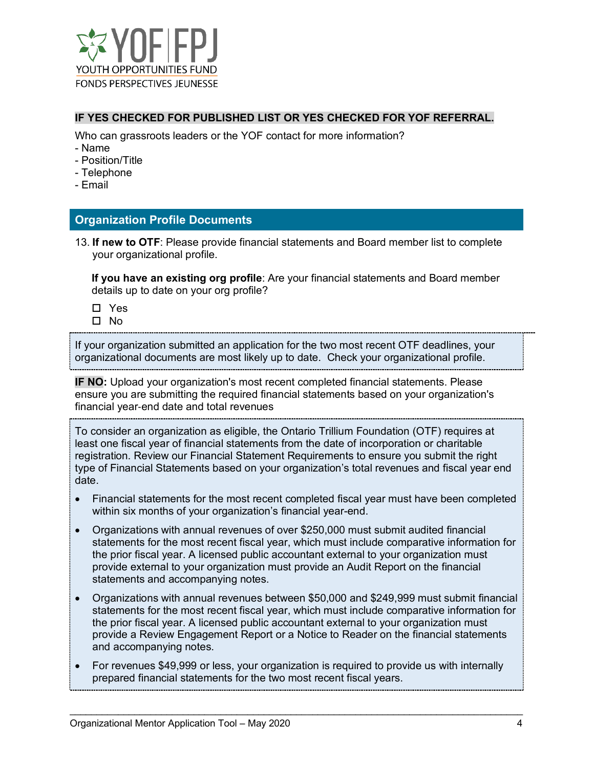

#### **IF YES CHECKED FOR PUBLISHED LIST OR YES CHECKED FOR YOF REFERRAL.**

Who can grassroots leaders or the YOF contact for more information?

- Name
- Position/Title
- Telephone
- Email

#### **Organization Profile Documents**

13. **If new to OTF**: Please provide financial statements and Board member list to complete your organizational profile.

**If you have an existing org profile**: Are your financial statements and Board member details up to date on your org profile?

- □ Yes
- $\Pi$  No

If your organization submitted an application for the two most recent OTF deadlines, your organizational documents are most likely up to date. Check your organizational profile.

**IF NO:** Upload your organization's most recent completed financial statements. Please ensure you are submitting the required financial statements based on your organization's financial year‐end date and total revenues

To consider an organization as eligible, the Ontario Trillium Foundation (OTF) requires at least one fiscal year of financial statements from the date of incorporation or charitable registration. Review our Financial Statement Requirements to ensure you submit the right type of Financial Statements based on your organization's total revenues and fiscal year end date.

- Financial statements for the most recent completed fiscal year must have been completed within six months of your organization's financial year-end.
- Organizations with annual revenues of over \$250,000 must submit audited financial statements for the most recent fiscal year, which must include comparative information for the prior fiscal year. A licensed public accountant external to your organization must provide external to your organization must provide an Audit Report on the financial statements and accompanying notes.
- Organizations with annual revenues between \$50,000 and \$249,999 must submit financial statements for the most recent fiscal year, which must include comparative information for the prior fiscal year. A licensed public accountant external to your organization must provide a Review Engagement Report or a Notice to Reader on the financial statements and accompanying notes.
- For revenues \$49,999 or less, your organization is required to provide us with internally prepared financial statements for the two most recent fiscal years.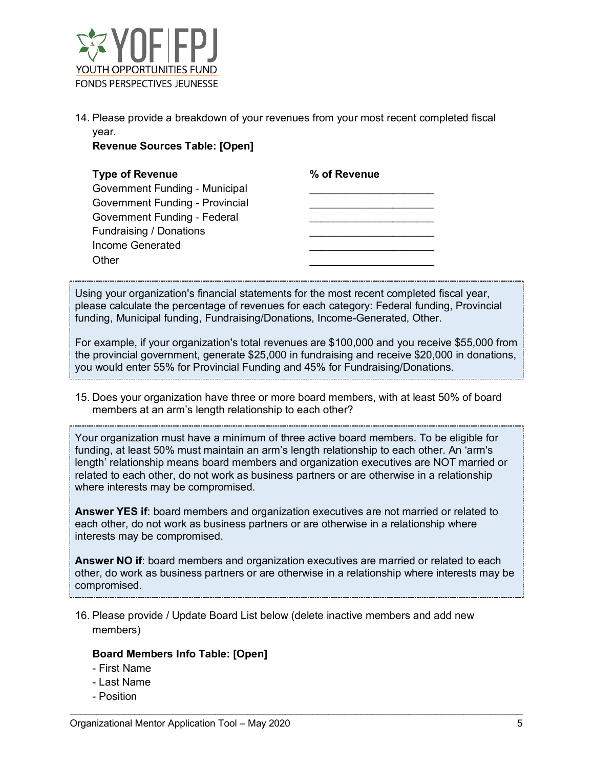

14. Please provide a breakdown of your revenues from your most recent completed fiscal year.

**Revenue Sources Table: [Open]**

| <b>Type of Revenue</b>                 | % of Revenue |
|----------------------------------------|--------------|
| <b>Government Funding - Municipal</b>  |              |
| <b>Government Funding - Provincial</b> |              |
| Government Funding - Federal           |              |
| Fundraising / Donations                |              |
| Income Generated                       |              |
| Other                                  |              |
|                                        |              |

Using your organization's financial statements for the most recent completed fiscal year, please calculate the percentage of revenues for each category: Federal funding, Provincial funding, Municipal funding, Fundraising/Donations, Income-Generated, Other.

For example, if your organization's total revenues are \$100,000 and you receive \$55,000 from the provincial government, generate \$25,000 in fundraising and receive \$20,000 in donations, you would enter 55% for Provincial Funding and 45% for Fundraising/Donations.

15. Does your organization have three or more board members, with at least 50% of board members at an arm's length relationship to each other?

Your organization must have a minimum of three active board members. To be eligible for funding, at least 50% must maintain an arm's length relationship to each other. An 'arm's length' relationship means board members and organization executives are NOT married or related to each other, do not work as business partners or are otherwise in a relationship where interests may be compromised.

**Answer YES if**: board members and organization executives are not married or related to each other, do not work as business partners or are otherwise in a relationship where interests may be compromised.

**Answer NO if**: board members and organization executives are married or related to each other, do work as business partners or are otherwise in a relationship where interests may be compromised.

\_\_\_\_\_\_\_\_\_\_\_\_\_\_\_\_\_\_\_\_\_\_\_\_\_\_\_\_\_\_\_\_\_\_\_\_\_\_\_\_\_\_\_\_\_\_\_\_\_\_\_\_\_\_\_\_\_\_\_\_\_\_\_\_\_\_\_\_\_\_\_\_\_\_\_\_\_\_\_\_\_\_\_\_

16. Please provide / Update Board List below (delete inactive members and add new members)

#### **Board Members Info Table: [Open]**

- First Name
- Last Name
- Position